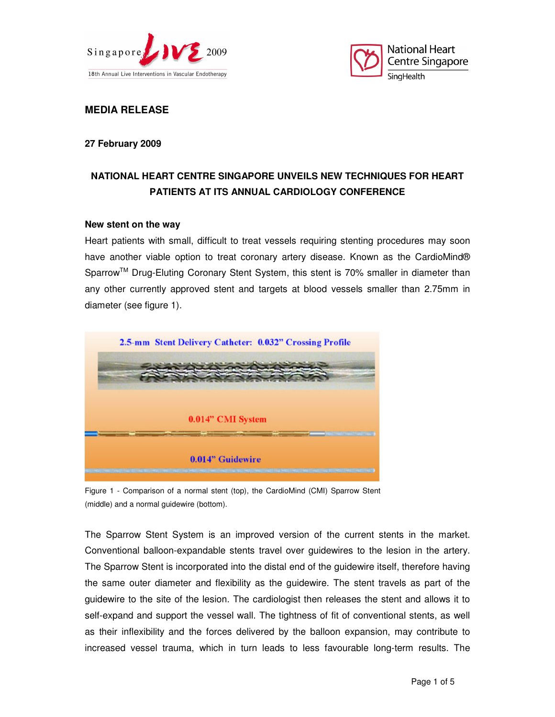



**MEDIA RELEASE** 

**27 February 2009** 

# **NATIONAL HEART CENTRE SINGAPORE UNVEILS NEW TECHNIQUES FOR HEART PATIENTS AT ITS ANNUAL CARDIOLOGY CONFERENCE**

#### **New stent on the way**

Heart patients with small, difficult to treat vessels requiring stenting procedures may soon have another viable option to treat coronary artery disease. Known as the CardioMind® Sparrow<sup>™</sup> Drug-Eluting Coronary Stent System, this stent is 70% smaller in diameter than any other currently approved stent and targets at blood vessels smaller than 2.75mm in diameter (see figure 1).



Figure 1 - Comparison of a normal stent (top), the CardioMind (CMI) Sparrow Stent (middle) and a normal guidewire (bottom).

The Sparrow Stent System is an improved version of the current stents in the market. Conventional balloon-expandable stents travel over guidewires to the lesion in the artery. The Sparrow Stent is incorporated into the distal end of the guidewire itself, therefore having the same outer diameter and flexibility as the guidewire. The stent travels as part of the guidewire to the site of the lesion. The cardiologist then releases the stent and allows it to self-expand and support the vessel wall. The tightness of fit of conventional stents, as well as their inflexibility and the forces delivered by the balloon expansion, may contribute to increased vessel trauma, which in turn leads to less favourable long-term results. The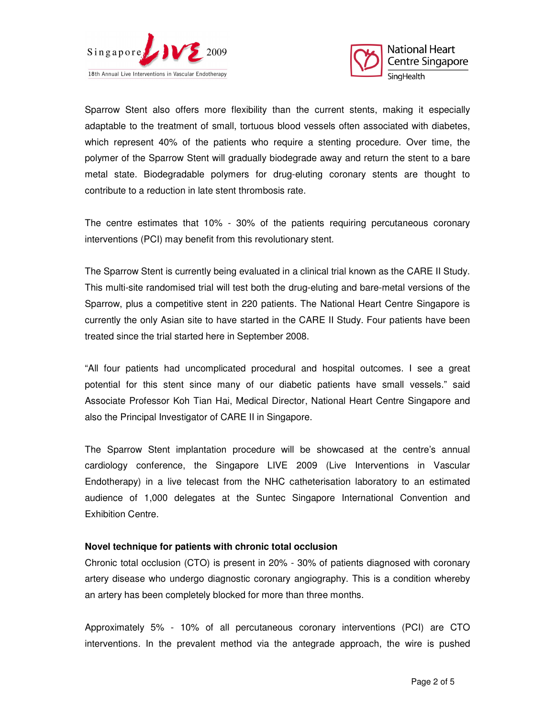



Sparrow Stent also offers more flexibility than the current stents, making it especially adaptable to the treatment of small, tortuous blood vessels often associated with diabetes, which represent 40% of the patients who require a stenting procedure. Over time, the polymer of the Sparrow Stent will gradually biodegrade away and return the stent to a bare metal state. Biodegradable polymers for drug-eluting coronary stents are thought to contribute to a reduction in late stent thrombosis rate.

The centre estimates that 10% - 30% of the patients requiring percutaneous coronary interventions (PCI) may benefit from this revolutionary stent.

The Sparrow Stent is currently being evaluated in a clinical trial known as the CARE II Study. This multi-site randomised trial will test both the drug-eluting and bare-metal versions of the Sparrow, plus a competitive stent in 220 patients. The National Heart Centre Singapore is currently the only Asian site to have started in the CARE II Study. Four patients have been treated since the trial started here in September 2008.

"All four patients had uncomplicated procedural and hospital outcomes. I see a great potential for this stent since many of our diabetic patients have small vessels." said Associate Professor Koh Tian Hai, Medical Director, National Heart Centre Singapore and also the Principal Investigator of CARE II in Singapore.

The Sparrow Stent implantation procedure will be showcased at the centre's annual cardiology conference, the Singapore LIVE 2009 (Live Interventions in Vascular Endotherapy) in a live telecast from the NHC catheterisation laboratory to an estimated audience of 1,000 delegates at the Suntec Singapore International Convention and Exhibition Centre.

#### **Novel technique for patients with chronic total occlusion**

Chronic total occlusion (CTO) is present in 20% - 30% of patients diagnosed with coronary artery disease who undergo diagnostic coronary angiography. This is a condition whereby an artery has been completely blocked for more than three months.

Approximately 5% - 10% of all percutaneous coronary interventions (PCI) are CTO interventions. In the prevalent method via the antegrade approach, the wire is pushed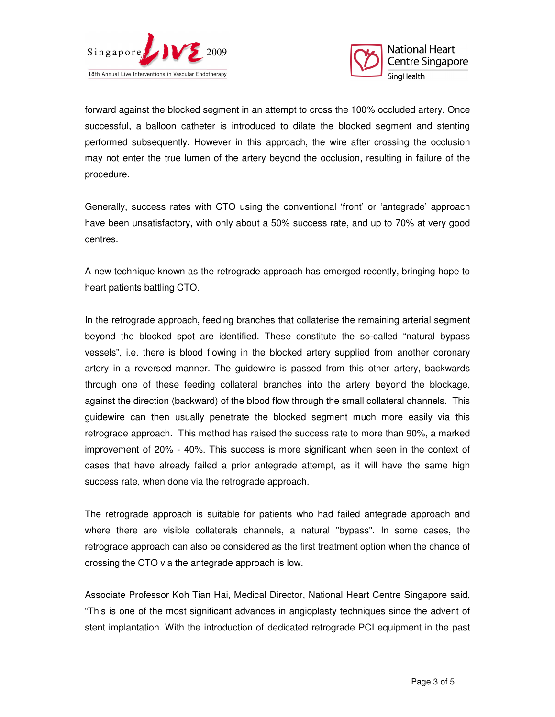



forward against the blocked segment in an attempt to cross the 100% occluded artery. Once successful, a balloon catheter is introduced to dilate the blocked segment and stenting performed subsequently. However in this approach, the wire after crossing the occlusion may not enter the true lumen of the artery beyond the occlusion, resulting in failure of the procedure.

Generally, success rates with CTO using the conventional 'front' or 'antegrade' approach have been unsatisfactory, with only about a 50% success rate, and up to 70% at very good centres.

A new technique known as the retrograde approach has emerged recently, bringing hope to heart patients battling CTO.

In the retrograde approach, feeding branches that collaterise the remaining arterial segment beyond the blocked spot are identified. These constitute the so-called "natural bypass vessels", i.e. there is blood flowing in the blocked artery supplied from another coronary artery in a reversed manner. The guidewire is passed from this other artery, backwards through one of these feeding collateral branches into the artery beyond the blockage, against the direction (backward) of the blood flow through the small collateral channels. This guidewire can then usually penetrate the blocked segment much more easily via this retrograde approach. This method has raised the success rate to more than 90%, a marked improvement of 20% - 40%. This success is more significant when seen in the context of cases that have already failed a prior antegrade attempt, as it will have the same high success rate, when done via the retrograde approach.

The retrograde approach is suitable for patients who had failed antegrade approach and where there are visible collaterals channels, a natural "bypass". In some cases, the retrograde approach can also be considered as the first treatment option when the chance of crossing the CTO via the antegrade approach is low.

Associate Professor Koh Tian Hai, Medical Director, National Heart Centre Singapore said, "This is one of the most significant advances in angioplasty techniques since the advent of stent implantation. With the introduction of dedicated retrograde PCI equipment in the past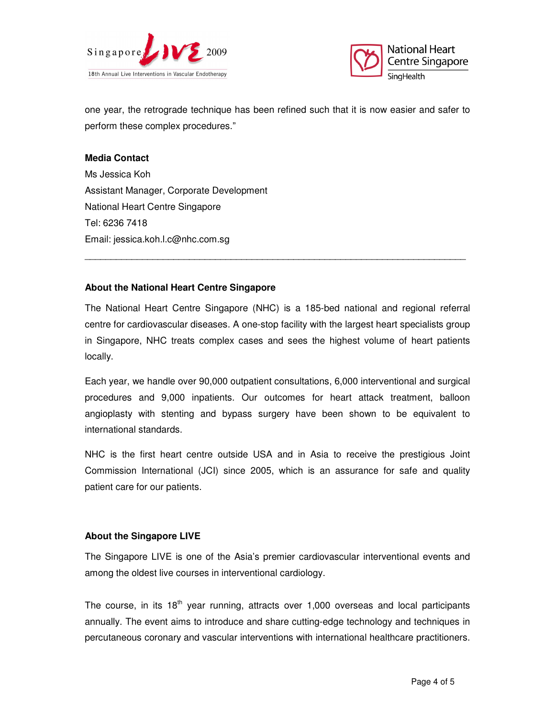



one year, the retrograde technique has been refined such that it is now easier and safer to perform these complex procedures."

### **Media Contact**

Ms Jessica Koh Assistant Manager, Corporate Development National Heart Centre Singapore Tel: 6236 7418 Email: jessica.koh.l.c@nhc.com.sg

## **About the National Heart Centre Singapore**

The National Heart Centre Singapore (NHC) is a 185-bed national and regional referral centre for cardiovascular diseases. A one-stop facility with the largest heart specialists group in Singapore, NHC treats complex cases and sees the highest volume of heart patients locally.

\_\_\_\_\_\_\_\_\_\_\_\_\_\_\_\_\_\_\_\_\_\_\_\_\_\_\_\_\_\_\_\_\_\_\_\_\_\_\_\_\_\_\_\_\_\_\_\_\_\_\_\_\_\_\_\_\_\_\_\_\_\_\_\_\_\_\_\_\_\_\_\_\_

Each year, we handle over 90,000 outpatient consultations, 6,000 interventional and surgical procedures and 9,000 inpatients. Our outcomes for heart attack treatment, balloon angioplasty with stenting and bypass surgery have been shown to be equivalent to international standards.

NHC is the first heart centre outside USA and in Asia to receive the prestigious Joint Commission International (JCI) since 2005, which is an assurance for safe and quality patient care for our patients.

## **About the Singapore LIVE**

The Singapore LIVE is one of the Asia's premier cardiovascular interventional events and among the oldest live courses in interventional cardiology.

The course, in its  $18<sup>th</sup>$  year running, attracts over 1,000 overseas and local participants annually. The event aims to introduce and share cutting-edge technology and techniques in percutaneous coronary and vascular interventions with international healthcare practitioners.